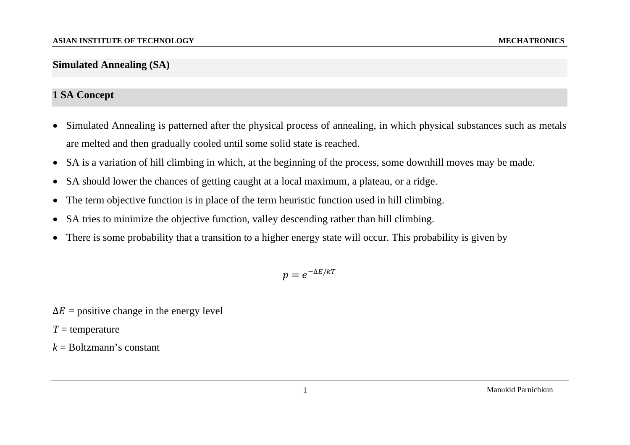## **Simulated Annealing (SA)**

## **1 SA Concept**

- $\bullet$  Simulated Annealing is patterned after the physical process of annealing, in which physical substances such as metals are melted and then gradually cooled until some solid state is reached.
- $\bullet$ SA is a variation of hill climbing in which, at the beginning of the process, some downhill moves may be made.
- $\bullet$ SA should lower the chances of getting caught at a local maximum, a plateau, or a ridge.
- •The term objective function is in place of the term heuristic function used in hill climbing.
- $\bullet$ SA tries to minimize the objective function, valley descending rather than hill climbing.
- •There is some probability that a transition to a higher energy state will occur. This probability is given by

 $p = e^{-\Delta E/kT}$ 

- $\Delta E$  = positive change in the energy level
- *T* = temperature
- $k =$ Boltzmann's constant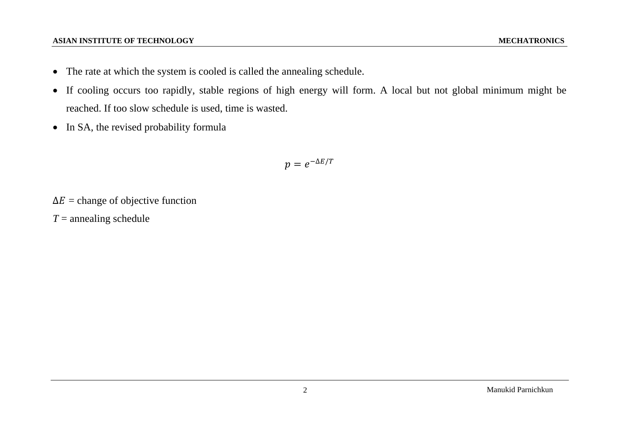## **ASIAN INSTITUTE OF TECHNOLOGY**

- The rate at which the system is cooled is called the annealing schedule.
- If cooling occurs too rapidly, stable regions of high energy will form. A local but not global minimum might be reached. If too slow schedule is used, time is wasted.
- In SA, the revised probability formula

 $p=e^{-\Delta E/T}$ 

 $\Delta E$  = change of objective function

*T* = annealing schedule